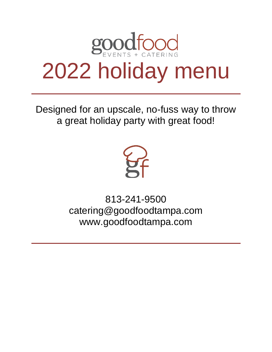

Designed for an upscale, no-fuss way to throw a great holiday party with great food!



813-241-9500 catering@goodfoodtampa.com [www.goodfoodtampa.com](http://www.goodfoodtampa.com/)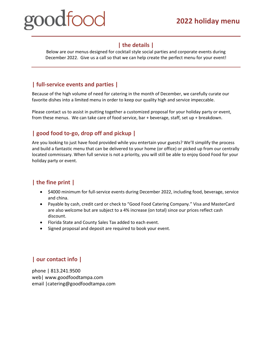### **| the details |**

Below are our menus designed for cocktail style social parties and corporate events during December 2022. Give us a call so that we can help create the perfect menu for your event!

### **| full-service events and parties |**

Because of the high volume of need for catering in the month of December, we carefully curate our favorite dishes into a limited menu in order to keep our quality high and service impeccable.

Please contact us to assist in putting together a customized proposal for your holiday party or event, from these menus. We can take care of food service, bar + beverage, staff, set up + breakdown.

### **| good food to-go, drop off and pickup |**

Are you looking to just have food provided while you entertain your guests? We'll simplify the process and build a fantastic menu that can be delivered to your home (or office) or picked up from our centrally located commissary. When full service is not a priority, you will still be able to enjoy Good Food for your holiday party or event.

### **| the fine print |**

- \$4000 minimum for full-service events during December 2022, including food, beverage, service and china.
- Payable by cash, credit card or check to "Good Food Catering Company." Visa and MasterCard are also welcome but are subject to a 4% increase (on total) since our prices reflect cash discount.
- Florida State and County Sales Tax added to each event.
- Signed proposal and deposit are required to book your event.

### **| our contact info |**

phone | 813.241.9500 web| www.goodfoodtampa.com email |catering@goodfoodtampa.com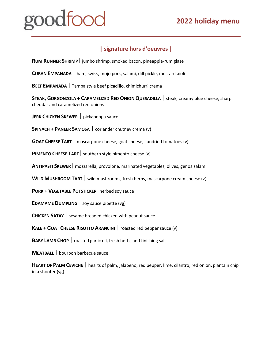# natoor

### **| signature hors d'oeuvres |**

**RUM RUNNER SHRIMP** jumbo shrimp, smoked bacon, pineapple-rum glaze

**CUBAN EMPANADA**  ham, swiss, mojo pork, salami, dill pickle, mustard aioli

**BEEF EMPANADA**  Tampa style beef picadillo, chimichurri crema

**STEAK, GORGONZOLA + CARAMELIZED RED ONION QUESADILLA**  steak, creamy blue cheese, sharp cheddar and caramelized red onions

**JERK CHICKEN SKEWER** pickapeppa sauce

**SPINACH + PANEER SAMOSA** coriander chutney crema (v)

**GOAT CHEESE TART** | mascarpone cheese, goat cheese, sundried tomatoes (v)

**PIMENTO CHEESE TART** southern style pimento cheese (v)

**ANTIPASTI SKEWER** mozzarella, provolone, marinated vegetables, olives, genoa salami

**WILD MUSHROOM TART** wild mushrooms, fresh herbs, mascarpone cream cheese (v)

**PORK + VEGETABLE POTSTICKER** nerbed soy sauce

**EDAMAME DUMPLING**  $\vert$  soy sauce pipette (vg)

**CHICKEN SATAY** sesame breaded chicken with peanut sauce

**KALE + GOAT CHEESE RISOTTO ARANCINI** | roasted red pepper sauce (v)

**BABY LAMB CHOP**  roasted garlic oil, fresh herbs and finishing salt

**MEATBALL** bourbon barbecue sauce

**HEART OF PALM CEVICHE**  hearts of palm, jalapeno, red pepper, lime, cilantro, red onion, plantain chip in a shooter (vg)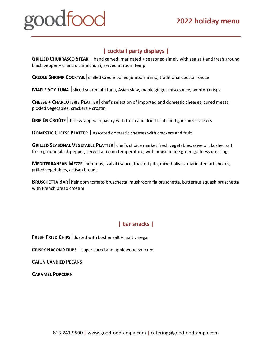### **| cocktail party displays |**

**GRILLED CHURRASCO STEAK** hand carved; marinated + seasoned simply with sea salt and fresh ground black pepper + cilantro chimichurri, served at room temp

**CREOLE SHRIMP COCKTAIL** chilled Creole boiled jumbo shrimp, traditional cocktail sauce

**MAPLE SOY TUNA** Sliced seared ahi tuna, Asian slaw, maple ginger miso sauce, wonton crisps

**CHEESE + CHARCUTERIE PLATTER** chef's selection of imported and domestic cheeses, cured meats, pickled vegetables, crackers + crostini

**BRIE EN CROÛTE** brie wrapped in pastry with fresh and dried fruits and gourmet crackers

**DOMESTIC CHEESE PLATTER** assorted domestic cheeses with crackers and fruit

**GRILLED SEASONAL VEGETABLE PLATTER** chef's choice market fresh vegetables, olive oil, kosher salt, fresh ground black pepper, served at room temperature, with house made green goddess dressing

**MEDITERRANEAN MEZZE** | hummus, tzatziki sauce, toasted pita, mixed olives, marinated artichokes, grilled vegetables, artisan breads

**BRUSCHETTA BAR**heirloom tomato bruschetta, mushroom fig bruschetta, butternut squash bruschetta with French bread crostini

### **| bar snacks |**

**FRESH FRIED CHIPS** dusted with kosher salt + malt vinegar

**CRISPY BACON STRIPS** sugar cured and applewood smoked

**CAJUN CANDIED PECANS**

**CARAMEL POPCORN**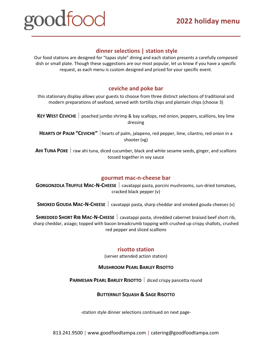## **2022 holiday menu**

# nodtoor

### **dinner selections | station style**

Our food stations are designed for "tapas style" dining and each station presents a carefully composed dish or small plate. Though these suggestions are our most popular, let us know if you have a specific request, as each menu is custom designed and priced for your specific event.

### **ceviche and poke bar**

this stationary display allows your guests to choose from three distinct selections of traditional and modern preparations of seafood, served with tortilla chips and plantain chips (choose 3)

**KEY WEST CEVICHE**  poached jumbo shrimp & bay scallops, red onion, peppers, scallions, key lime dressing

**HEARTS OF PALM "CEVICHE"** hearts of palm, jalapeno, red pepper, lime, cilantro, red onion in a shooter (vg)

**AHI TUNA POKE**  raw ahi tuna, diced cucumber, black and white sesame seeds, ginger, and scallions tossed together in soy sauce

### **gourmet mac-n-cheese bar**

**GORGONZOLA TRUFFLE MAC-N-CHEESE** cavatappi pasta, porcini mushrooms, sun-dried tomatoes, cracked black pepper (v)

**SMOKED GOUDA MAC-N-CHEESE** | cavatappi pasta, sharp cheddar and smoked gouda cheeses (v)

**SHREDDED SHORT RIB MAC-N-CHEESE** cavatappi pasta, shredded cabernet braised beef short rib, sharp cheddar, asiago; topped with bacon breadcrumb topping with crushed up crispy shallots, crushed red pepper and sliced scallions

### **risotto station**

(server attended action station)

### **MUSHROOM PEARL BARLEY RISOTTO**

**PARMESAN PEARL BARLEY RISOTTO** diced crispy pancetta round

### **BUTTERNUT SQUASH & SAGE RISOTTO**

-station style dinner selections continued on next page-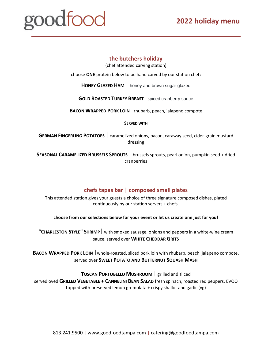# <u>roodfood</u>

### **the butchers holiday**

(chef attended carving station)

choose **ONE** protein below to be hand carved by our station chef**:** 

**HONEY GLAZED HAM** honey and brown sugar glazed

**GOLD ROASTED TURKEY BREAST** spiced cranberry sauce

**BACON WRAPPED PORK LOIN** rhubarb, peach, jalapeno compote

**SERVED WITH**

**GERMAN FINGERLING POTATOES**  $\vert$  caramelized onions, bacon, caraway seed, cider-grain mustard dressing

**SEASONAL CARAMELIZED BRUSSELS SPROUTS** brussels sprouts, pearl onion, pumpkin seed + dried cranberries

### **chefs tapas bar | composed small plates**

This attended station gives your guests a choice of three signature composed dishes, plated continuously by our station servers + chefs.

**choose from our selections below for your event or let us create one just for you!**

**"CHARLESTON STYLE" SHRIMP** with smoked sausage, onions and peppers in a white-wine cream sauce, served over **WHITE CHEDDAR GRITS**

**BACON WRAPPED PORK LOIN** whole-roasted, sliced pork loin with rhubarb, peach, jalapeno compote, served over **SWEET POTATO AND BUTTERNUT SQUASH MASH**

**TUSCAN PORTOBELLO MUSHROOM** grilled and sliced

served oved **GRILLED VEGETABLE + CANNELINI BEAN SALAD** fresh spinach, roasted red peppers, EVOO topped with preserved lemon gremolata + crispy shallot and garlic (vg)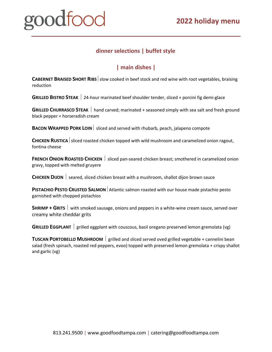### **dinner selections | buffet style**

### **| main dishes |**

**CABERNET BRAISED SHORT RIBS** slow cooked in beef stock and red wine with root vegetables, braising reduction

**GRILLED BISTRO STEAK** 24-hour marinated beef shoulder tender, sliced + porcini fig demi-glace

**GRILLED CHURRASCO STEAK** hand carved; marinated + seasoned simply with sea salt and fresh ground black pepper + horseradish cream

**BACON WRAPPED PORK LOIN** sliced and served with rhubarb, peach, jalapeno compote

**CHICKEN RUSTICA** sliced roasted chicken topped with wild mushroom and caramelized onion ragout, fontina cheese

**FRENCH ONION ROASTED CHICKEN** | sliced pan-seared chicken breast; smothered in caramelized onion gravy, topped with melted gruyere

**CHICKEN DIJON** seared, sliced chicken breast with a mushroom, shallot dijon brown sauce

**PISTACHIO PESTO CRUSTED SALMON** Atlantic salmon roasted with our house made pistachio pesto garnished with chopped pistachios

**SHRIMP + GRITS** with smoked sausage, onions and peppers in a white-wine cream sauce, served over creamy white cheddar grits

**GRILLED EGGPLANT** | grilled eggplant with couscous, basil oregano preserved lemon gremolata (vg)

**TUSCAN PORTOBELLO MUSHROOM** grilled and sliced served oved grilled vegetable + cannelini bean salad (fresh spinach, roasted red peppers, evoo) topped with preserved lemon gremolata + crispy shallot and garlic (vg)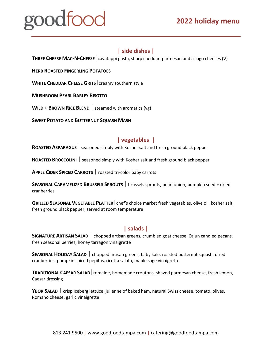### **| side dishes |**

**THREE CHEESE MAC-N-CHEESE**  $|$  cavatappi pasta, sharp cheddar, parmesan and asiago cheeses (V)

**HERB ROASTED FINGERLING POTATOES** 

**WHITE CHEDDAR CHEESE GRITS** creamy southern style

**MUSHROOM PEARL BARLEY RISOTTO**

**WILD + BROWN RICE BLEND** steamed with aromatics (vg)

**SWEET POTATO AND BUTTERNUT SQUASH MASH**

### **| vegetables |**

**ROASTED ASPARAGUS** seasoned simply with Kosher salt and fresh ground black pepper

**ROASTED BROCCOLINI** | seasoned simply with Kosher salt and fresh ground black pepper

**APPLE CIDER SPICED CARROTS**  roasted tri-color baby carrots

**SEASONAL CARAMELIZED BRUSSELS SPROUTS** brussels sprouts, pearl onion, pumpkin seed + dried cranberries

**GRILLED SEASONAL VEGETABLE PLATTER** chef's choice market fresh vegetables, olive oil, kosher salt, fresh ground black pepper, served at room temperature

### **| salads |**

**SIGNATURE ARTISAN SALAD** chopped artisan greens, crumbled goat cheese, Cajun candied pecans, fresh seasonal berries, honey tarragon vinaigrette

**SEASONAL HOLIDAY SALAD** | chopped artisan greens, baby kale, roasted butternut squash, dried cranberries, pumpkin spiced pepitas, ricotta salata, maple sage vinaigrette

**TRADITIONAL CAESAR SALAD** romaine, homemade croutons, shaved parmesan cheese, fresh lemon, Caesar dressing

**YBOR SALAD**  $\vert$  crisp Iceberg lettuce, julienne of baked ham, natural Swiss cheese, tomato, olives, Romano cheese, garlic vinaigrette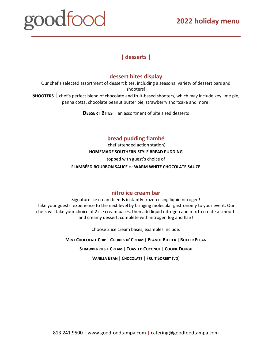## **2022 holiday menu**

# goodfood

### **| desserts |**

### **dessert bites display**

Our chef's selected assortment of dessert bites, including a seasonal variety of dessert bars and shooters!

**SHOOTERS**  $\vert$  chef's perfect blend of chocolate and fruit-based shooters, which may include key lime pie, panna cotta, chocolate peanut butter pie, strawberry shortcake and more!

**DESSERT BITES** an assortment of bite sized desserts

### **bread pudding flambé**

(chef attended action station) **HOMEMADE SOUTHERN STYLE BREAD PUDDING**

topped with guest's choice of

### **FLAMBÉED BOURBON SAUCE** or **WARM WHITE CHOCOLATE SAUCE**

### **nitro ice cream bar**

Signature ice cream blends instantly frozen using liquid nitrogen! Take your guests' experience to the next level by bringing molecular gastronomy to your event. Our chefs will take your choice of 2 ice cream bases, then add liquid nitrogen and mix to create a smooth and creamy dessert, complete with nitrogen fog and flair!

Choose 2 ice cream bases; examples include:

**MINT CHOCOLATE CHIP** | **COOKIES N' CREAM** | **PEANUT BUTTER** | **BUTTER PECAN**

**STRAWBERRIES + CREAM** | **TOASTED COCONUT** | **COOKIE DOUGH**

**VANILLA BEAN** | **CHOCOLATE** | **FRUIT SORBET** (VG)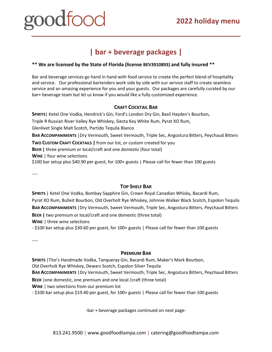## **2022 holiday menu**

# <u>nadtoor</u>

# **| bar + beverage packages |**

### **\*\* We are licensed by the State of Florida (license BEV3910893) and fully insured \*\***

Bar and beverage services go hand in hand with food service to create the perfect blend of hospitality and service. Our professional bartenders work side by side with our service staff to create seamless service and an amazing experience for you and your guests. Our packages are carefully curated by our bar+ beverage team but let us know if you would like a fully customized experience.

### **CRAFT COCKTAIL BAR**

**SPIRITS**| Ketel One Vodka, Hendrick's Gin, Ford's London Dry Gin, Basil Hayden's Bourbon, Triple R Russian River Valley Rye Whiskey, Siesta Key White Rum, Pyrat XO Rum, Glenlivet Single Malt Scotch, Partido Tequila Blanco **BAR ACCOMPANIMENTS** |Dry Vermouth, Sweet Vermouth, Triple Sec, Angostura Bitters, Peychaud Bitters **TWO CUSTOM CRAFT COCKTAILS |** from our list, or custom created for you **BEER |** three premium or local/craft and one domestic (four total) **WINE** | four wine selections \$100 bar setup plus \$40.90 per guest, for 100+ guests | Please call for fewer than 100 guests

----

### **TOP SHELF BAR**

**SPIRITS** | Ketel One Vodka, Bombay Sapphire Gin, Crown Royal Canadian Whisky, Bacardi Rum, Pyrat XO Rum, Bulleit Bourbon, Old Overholt Rye Whiskey, Johnnie Walker Black Scotch, Espolon Tequila **BAR ACCOMPANIMENTS** |Dry Vermouth, Sweet Vermouth, Triple Sec, Angostura Bitters, Peychaud Bitters **BEER |** two premium or local/craft and one domestic (three total) **WINE** | three wine selections

- \$100 bar setup plus \$30.60 per guest, for 100+ guests | Please call for fewer than 100 guests

----

### **PREMIUM BAR**

**SPIRITS** |Tito's Handmade Vodka, Tanqueray Gin, Bacardi Rum, Maker's Mark Bourbon, Old Overholt Rye Whiskey, Dewars Scotch, Espolon Silver Tequila

**BAR ACCOMPANIMENTS** |Dry Vermouth, Sweet Vermouth, Triple Sec, Angostura Bitters, Peychaud Bitters

**BEER** | one domestic, one premium and one local / craft (three total)

**WINE** | two selections from our premium list

- \$100 bar setup plus \$19.40 per guest, for 100+ guests | Please call for fewer than 100 guests

-bar + beverage packages continued on next page-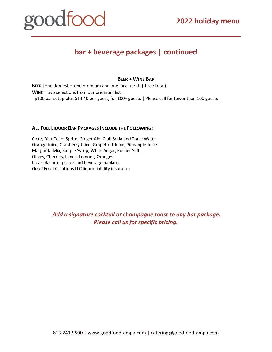# goodfood

# **bar + beverage packages | continued**

#### **BEER + WINE BAR**

**BEER** |one domestic, one premium and one local /craft (three total) **WINE** | two selections from our premium list - \$100 bar setup plus \$14.40 per guest, for 100+ guests | Please call for fewer than 100 guests

### **ALL FULL LIQUOR BAR PACKAGES INCLUDE THE FOLLOWING:**

Coke, Diet Coke, Sprite, Ginger Ale, Club Soda and Tonic Water Orange Juice, Cranberry Juice, Grapefruit Juice, Pineapple Juice Margarita Mix, Simple Syrup, White Sugar, Kosher Salt Olives, Cherries, Limes, Lemons, Oranges Clear plastic cups, ice and beverage napkins Good Food Creations LLC liquor liability insurance

> *Add a signature cocktail or champagne toast to any bar package. Please call us for specific pricing.*